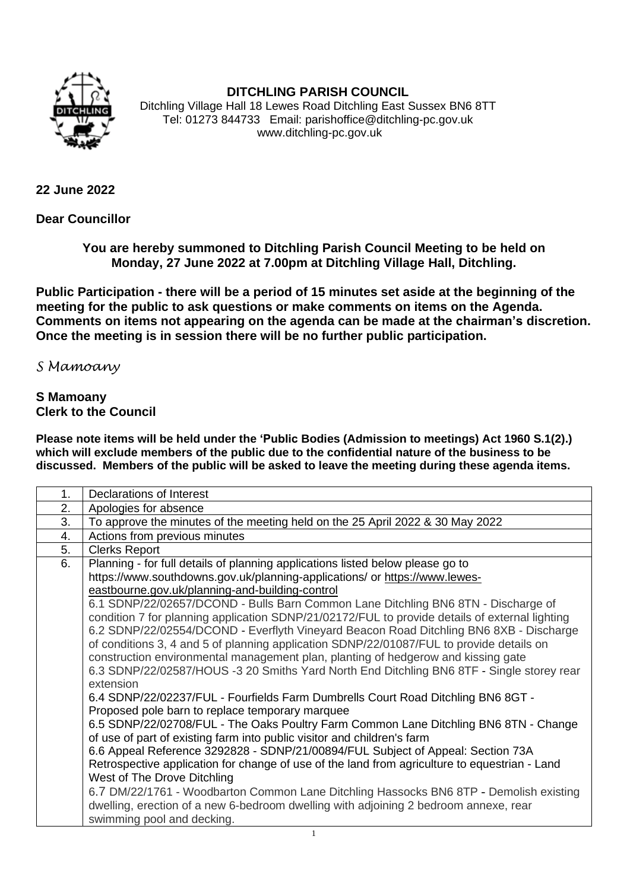

## **DITCHLING PARISH COUNCIL**

Ditchling Village Hall 18 Lewes Road Ditchling East Sussex BN6 8TT Tel: 01273 844733 Email: parishoffice@ditchling-pc.gov.uk www.ditchling-pc.gov.uk

## **22 June 2022**

**Dear Councillor**

**You are hereby summoned to Ditchling Parish Council Meeting to be held on Monday, 27 June 2022 at 7.00pm at Ditchling Village Hall, Ditchling.**

**Public Participation - there will be a period of 15 minutes set aside at the beginning of the meeting for the public to ask questions or make comments on items on the Agenda. Comments on items not appearing on the agenda can be made at the chairman's discretion. Once the meeting is in session there will be no further public participation.**

## *S Mamoany*

## **S Mamoany Clerk to the Council**

**Please note items will be held under the 'Public Bodies (Admission to meetings) Act 1960 S.1(2).) which will exclude members of the public due to the confidential nature of the business to be discussed. Members of the public will be asked to leave the meeting during these agenda items.**

| 1. | Declarations of Interest                                                                                                                                                                                                                                                                                                                                                                                                                                                                                                                                                                                                                                                                                                                                                                                                                                                                                                                                                                                                                                                                                                                                                                                                                                                                                                                                                                                                                                                                                   |
|----|------------------------------------------------------------------------------------------------------------------------------------------------------------------------------------------------------------------------------------------------------------------------------------------------------------------------------------------------------------------------------------------------------------------------------------------------------------------------------------------------------------------------------------------------------------------------------------------------------------------------------------------------------------------------------------------------------------------------------------------------------------------------------------------------------------------------------------------------------------------------------------------------------------------------------------------------------------------------------------------------------------------------------------------------------------------------------------------------------------------------------------------------------------------------------------------------------------------------------------------------------------------------------------------------------------------------------------------------------------------------------------------------------------------------------------------------------------------------------------------------------------|
| 2. | Apologies for absence                                                                                                                                                                                                                                                                                                                                                                                                                                                                                                                                                                                                                                                                                                                                                                                                                                                                                                                                                                                                                                                                                                                                                                                                                                                                                                                                                                                                                                                                                      |
| 3. | To approve the minutes of the meeting held on the 25 April 2022 & 30 May 2022                                                                                                                                                                                                                                                                                                                                                                                                                                                                                                                                                                                                                                                                                                                                                                                                                                                                                                                                                                                                                                                                                                                                                                                                                                                                                                                                                                                                                              |
| 4. | Actions from previous minutes                                                                                                                                                                                                                                                                                                                                                                                                                                                                                                                                                                                                                                                                                                                                                                                                                                                                                                                                                                                                                                                                                                                                                                                                                                                                                                                                                                                                                                                                              |
| 5. | <b>Clerks Report</b>                                                                                                                                                                                                                                                                                                                                                                                                                                                                                                                                                                                                                                                                                                                                                                                                                                                                                                                                                                                                                                                                                                                                                                                                                                                                                                                                                                                                                                                                                       |
| 6. | Planning - for full details of planning applications listed below please go to<br>https://www.southdowns.gov.uk/planning-applications/ or https://www.lewes-<br>eastbourne.gov.uk/planning-and-building-control<br>6.1 SDNP/22/02657/DCOND - Bulls Barn Common Lane Ditchling BN6 8TN - Discharge of<br>condition 7 for planning application SDNP/21/02172/FUL to provide details of external lighting<br>6.2 SDNP/22/02554/DCOND - Everflyth Vineyard Beacon Road Ditchling BN6 8XB - Discharge<br>of conditions 3, 4 and 5 of planning application SDNP/22/01087/FUL to provide details on<br>construction environmental management plan, planting of hedgerow and kissing gate<br>6.3 SDNP/22/02587/HOUS -3 20 Smiths Yard North End Ditchling BN6 8TF - Single storey rear<br>extension<br>6.4 SDNP/22/02237/FUL - Fourfields Farm Dumbrells Court Road Ditchling BN6 8GT -<br>Proposed pole barn to replace temporary marquee<br>6.5 SDNP/22/02708/FUL - The Oaks Poultry Farm Common Lane Ditchling BN6 8TN - Change<br>of use of part of existing farm into public visitor and children's farm<br>6.6 Appeal Reference 3292828 - SDNP/21/00894/FUL Subject of Appeal: Section 73A<br>Retrospective application for change of use of the land from agriculture to equestrian - Land<br>West of The Drove Ditchling<br>6.7 DM/22/1761 - Woodbarton Common Lane Ditchling Hassocks BN6 8TP - Demolish existing<br>dwelling, erection of a new 6-bedroom dwelling with adjoining 2 bedroom annexe, rear |
|    | swimming pool and decking.                                                                                                                                                                                                                                                                                                                                                                                                                                                                                                                                                                                                                                                                                                                                                                                                                                                                                                                                                                                                                                                                                                                                                                                                                                                                                                                                                                                                                                                                                 |